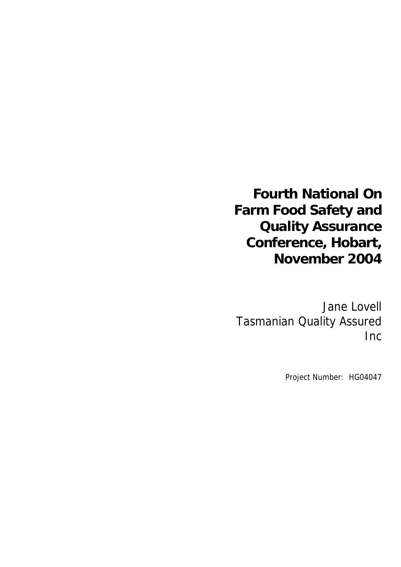# **Fourth National On Farm Food Safety and Quality Assurance Conference, Hobart, November 2004**

Jane Lovell Tasmanian Quality Assured Inc

Project Number: HG04047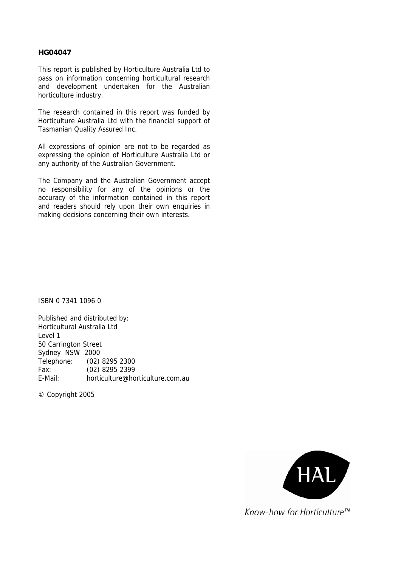#### **HG04047**

This report is published by Horticulture Australia Ltd to pass on information concerning horticultural research and development undertaken for the Australian horticulture industry.

The research contained in this report was funded by Horticulture Australia Ltd with the financial support of Tasmanian Quality Assured Inc.

All expressions of opinion are not to be regarded as expressing the opinion of Horticulture Australia Ltd or any authority of the Australian Government.

The Company and the Australian Government accept no responsibility for any of the opinions or the accuracy of the information contained in this report and readers should rely upon their own enquiries in making decisions concerning their own interests.

ISBN 0 7341 1096 0

Published and distributed by: Horticultural Australia Ltd Level 1 50 Carrington Street Sydney NSW 2000 Telephone: (02) 8295 2300 Fax: (02) 8295 2399 E-Mail: horticulture@horticulture.com.au

© Copyright 2005



Know-how for Horticulture™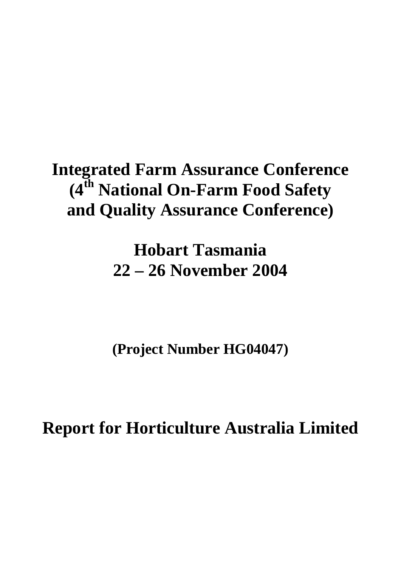# **Integrated Farm Assurance Conference (4th National On-Farm Food Safety and Quality Assurance Conference)**

**Hobart Tasmania 22 – 26 November 2004** 

**(Project Number HG04047)** 

**Report for Horticulture Australia Limited**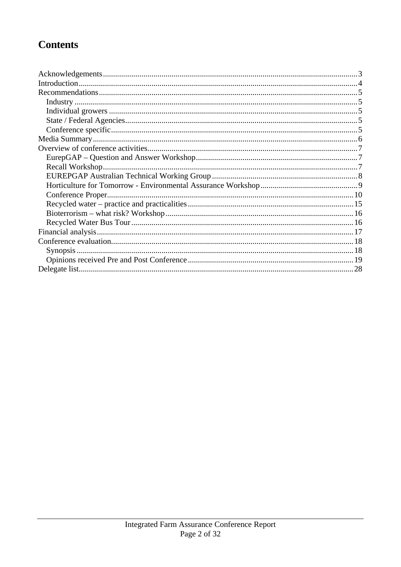### **Contents**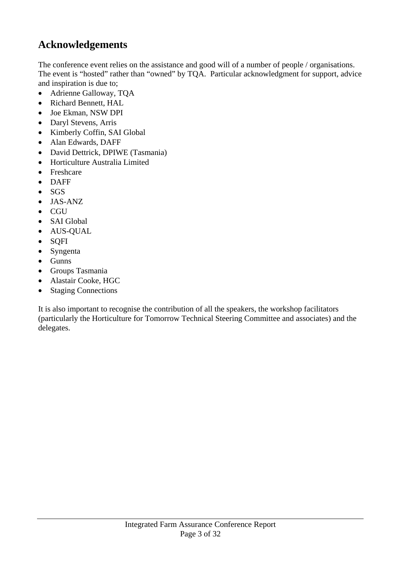### **Acknowledgements**

The conference event relies on the assistance and good will of a number of people / organisations. The event is "hosted" rather than "owned" by TQA. Particular acknowledgment for support, advice and inspiration is due to;

- Adrienne Galloway, TQA
- Richard Bennett, HAL
- Joe Ekman, NSW DPI
- Daryl Stevens, Arris
- Kimberly Coffin, SAI Global
- Alan Edwards, DAFF
- David Dettrick, DPIWE (Tasmania)
- Horticulture Australia Limited
- Freshcare
- DAFF
- SGS
- JAS-ANZ
- CGU
- SAI Global
- AUS-QUAL
- SQFI
- Syngenta
- Gunns
- Groups Tasmania
- Alastair Cooke, HGC
- Staging Connections

It is also important to recognise the contribution of all the speakers, the workshop facilitators (particularly the Horticulture for Tomorrow Technical Steering Committee and associates) and the delegates.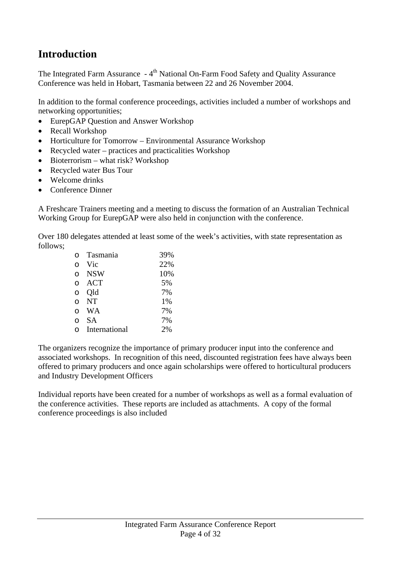### **Introduction**

The Integrated Farm Assurance - 4<sup>th</sup> National On-Farm Food Safety and Quality Assurance Conference was held in Hobart, Tasmania between 22 and 26 November 2004.

In addition to the formal conference proceedings, activities included a number of workshops and networking opportunities;

- EurepGAP Question and Answer Workshop
- Recall Workshop
- Horticulture for Tomorrow Environmental Assurance Workshop
- Recycled water practices and practicalities Workshop
- Bioterrorism what risk? Workshop
- Recycled water Bus Tour
- Welcome drinks
- Conference Dinner

A Freshcare Trainers meeting and a meeting to discuss the formation of an Australian Technical Working Group for EurepGAP were also held in conjunction with the conference.

Over 180 delegates attended at least some of the week's activities, with state representation as follows;

| 22% |
|-----|
|     |
| 10% |
| 5%  |
| 7%  |
| 1%  |
| 7%  |
| 7%  |
| 2%  |
|     |

The organizers recognize the importance of primary producer input into the conference and associated workshops. In recognition of this need, discounted registration fees have always been offered to primary producers and once again scholarships were offered to horticultural producers and Industry Development Officers

Individual reports have been created for a number of workshops as well as a formal evaluation of the conference activities. These reports are included as attachments. A copy of the formal conference proceedings is also included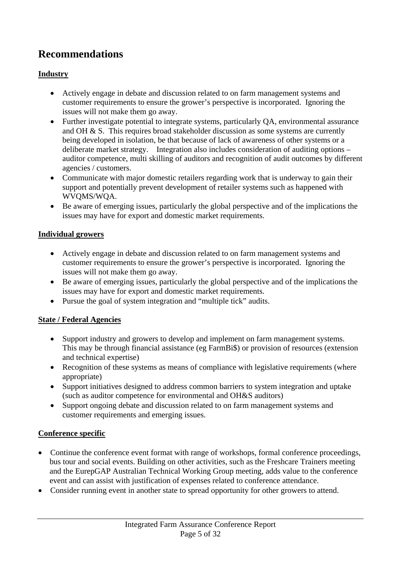### **Recommendations**

#### **Industry**

- Actively engage in debate and discussion related to on farm management systems and customer requirements to ensure the grower's perspective is incorporated. Ignoring the issues will not make them go away.
- Further investigate potential to integrate systems, particularly OA, environmental assurance and OH & S. This requires broad stakeholder discussion as some systems are currently being developed in isolation, be that because of lack of awareness of other systems or a deliberate market strategy. Integration also includes consideration of auditing options – auditor competence, multi skilling of auditors and recognition of audit outcomes by different agencies / customers.
- Communicate with major domestic retailers regarding work that is underway to gain their support and potentially prevent development of retailer systems such as happened with WVQMS/WQA.
- Be aware of emerging issues, particularly the global perspective and of the implications the issues may have for export and domestic market requirements.

#### **Individual growers**

- Actively engage in debate and discussion related to on farm management systems and customer requirements to ensure the grower's perspective is incorporated. Ignoring the issues will not make them go away.
- Be aware of emerging issues, particularly the global perspective and of the implications the issues may have for export and domestic market requirements.
- Pursue the goal of system integration and "multiple tick" audits.

#### **State / Federal Agencies**

- Support industry and growers to develop and implement on farm management systems. This may be through financial assistance (eg FarmBi\$) or provision of resources (extension and technical expertise)
- Recognition of these systems as means of compliance with legislative requirements (where appropriate)
- Support initiatives designed to address common barriers to system integration and uptake (such as auditor competence for environmental and OH&S auditors)
- Support ongoing debate and discussion related to on farm management systems and customer requirements and emerging issues.

#### **Conference specific**

- Continue the conference event format with range of workshops, formal conference proceedings, bus tour and social events. Building on other activities, such as the Freshcare Trainers meeting and the EurepGAP Australian Technical Working Group meeting, adds value to the conference event and can assist with justification of expenses related to conference attendance.
- Consider running event in another state to spread opportunity for other growers to attend.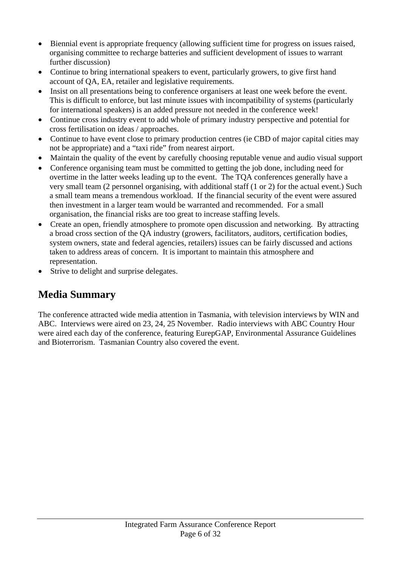- Biennial event is appropriate frequency (allowing sufficient time for progress on issues raised, organising committee to recharge batteries and sufficient development of issues to warrant further discussion)
- Continue to bring international speakers to event, particularly growers, to give first hand account of QA, EA, retailer and legislative requirements.
- Insist on all presentations being to conference organisers at least one week before the event. This is difficult to enforce, but last minute issues with incompatibility of systems (particularly for international speakers) is an added pressure not needed in the conference week!
- Continue cross industry event to add whole of primary industry perspective and potential for cross fertilisation on ideas / approaches.
- Continue to have event close to primary production centres (ie CBD of major capital cities may not be appropriate) and a "taxi ride" from nearest airport.
- Maintain the quality of the event by carefully choosing reputable venue and audio visual support
- Conference organising team must be committed to getting the job done, including need for overtime in the latter weeks leading up to the event. The TQA conferences generally have a very small team (2 personnel organising, with additional staff (1 or 2) for the actual event.) Such a small team means a tremendous workload. If the financial security of the event were assured then investment in a larger team would be warranted and recommended. For a small organisation, the financial risks are too great to increase staffing levels.
- Create an open, friendly atmosphere to promote open discussion and networking. By attracting a broad cross section of the QA industry (growers, facilitators, auditors, certification bodies, system owners, state and federal agencies, retailers) issues can be fairly discussed and actions taken to address areas of concern. It is important to maintain this atmosphere and representation.
- Strive to delight and surprise delegates.

### **Media Summary**

The conference attracted wide media attention in Tasmania, with television interviews by WIN and ABC. Interviews were aired on 23, 24, 25 November. Radio interviews with ABC Country Hour were aired each day of the conference, featuring EurepGAP, Environmental Assurance Guidelines and Bioterrorism. Tasmanian Country also covered the event.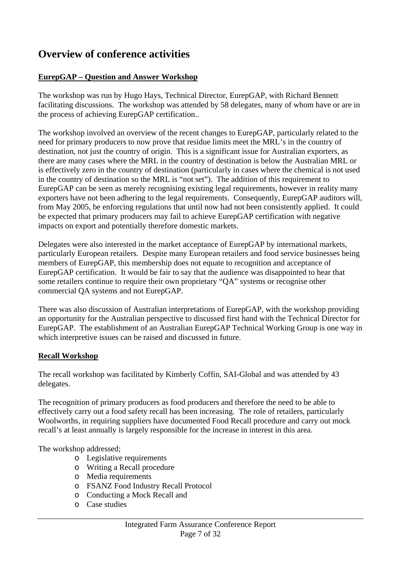### **Overview of conference activities**

#### **EurepGAP – Question and Answer Workshop**

The workshop was run by Hugo Hays, Technical Director, EurepGAP, with Richard Bennett facilitating discussions. The workshop was attended by 58 delegates, many of whom have or are in the process of achieving EurepGAP certification..

The workshop involved an overview of the recent changes to EurepGAP, particularly related to the need for primary producers to now prove that residue limits meet the MRL's in the country of destination, not just the country of origin. This is a significant issue for Australian exporters, as there are many cases where the MRL in the country of destination is below the Australian MRL or is effectively zero in the country of destination (particularly in cases where the chemical is not used in the country of destination so the MRL is "not set"). The addition of this requirement to EurepGAP can be seen as merely recognising existing legal requirements, however in reality many exporters have not been adhering to the legal requirements. Consequently, EurepGAP auditors will, from May 2005, be enforcing regulations that until now had not been consistently applied. It could be expected that primary producers may fail to achieve EurepGAP certification with negative impacts on export and potentially therefore domestic markets.

Delegates were also interested in the market acceptance of EurepGAP by international markets, particularly European retailers. Despite many European retailers and food service businesses being members of EurepGAP, this membership does not equate to recognition and acceptance of EurepGAP certification. It would be fair to say that the audience was disappointed to hear that some retailers continue to require their own proprietary "QA" systems or recognise other commercial QA systems and not EurepGAP.

There was also discussion of Australian interpretations of EurepGAP, with the workshop providing an opportunity for the Australian perspective to discussed first hand with the Technical Director for EurepGAP. The establishment of an Australian EurepGAP Technical Working Group is one way in which interpretive issues can be raised and discussed in future.

#### **Recall Workshop**

The recall workshop was facilitated by Kimberly Coffin, SAI-Global and was attended by 43 delegates.

The recognition of primary producers as food producers and therefore the need to be able to effectively carry out a food safety recall has been increasing. The role of retailers, particularly Woolworths, in requiring suppliers have documented Food Recall procedure and carry out mock recall's at least annually is largely responsible for the increase in interest in this area.

The workshop addressed;

- o Legislative requirements
- o Writing a Recall procedure
- o Media requirements
- o FSANZ Food Industry Recall Protocol
- o Conducting a Mock Recall and
- o Case studies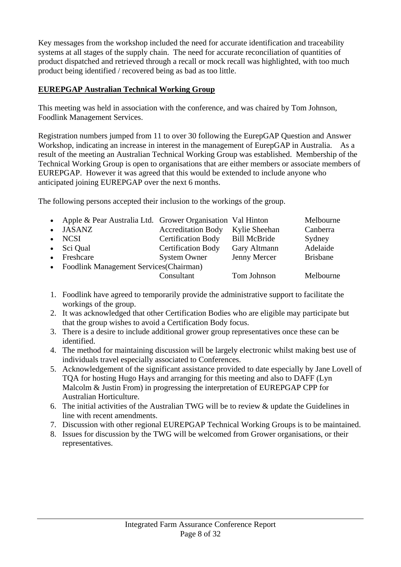Key messages from the workshop included the need for accurate identification and traceability systems at all stages of the supply chain. The need for accurate reconciliation of quantities of product dispatched and retrieved through a recall or mock recall was highlighted, with too much product being identified / recovered being as bad as too little.

#### **EUREPGAP Australian Technical Working Group**

This meeting was held in association with the conference, and was chaired by Tom Johnson, Foodlink Management Services.

Registration numbers jumped from 11 to over 30 following the EurepGAP Question and Answer Workshop, indicating an increase in interest in the management of EurepGAP in Australia. As a result of the meeting an Australian Technical Working Group was established. Membership of the Technical Working Group is open to organisations that are either members or associate members of EUREPGAP. However it was agreed that this would be extended to include anyone who anticipated joining EUREPGAP over the next 6 months.

The following persons accepted their inclusion to the workings of the group.

| • Apple & Pear Australia Ltd. Grower Organisation Val Hinton |                           |                     | Melbourne       |
|--------------------------------------------------------------|---------------------------|---------------------|-----------------|
| • JASANZ                                                     | <b>Accreditation Body</b> | Kylie Sheehan       | Canberra        |
| $\bullet$ NCSI                                               | <b>Certification Body</b> | <b>Bill McBride</b> | Sydney          |
| $\bullet$ Sci Qual                                           | <b>Certification Body</b> | Gary Altmann        | Adelaide        |
| • Freshcare                                                  | <b>System Owner</b>       | Jenny Mercer        | <b>Brisbane</b> |
| • Foodlink Management Services (Chairman)                    |                           |                     |                 |
|                                                              | Consultant                | Tom Johnson         | Melbourne       |

- 1. Foodlink have agreed to temporarily provide the administrative support to facilitate the workings of the group.
- 2. It was acknowledged that other Certification Bodies who are eligible may participate but that the group wishes to avoid a Certification Body focus.
- 3. There is a desire to include additional grower group representatives once these can be identified.
- 4. The method for maintaining discussion will be largely electronic whilst making best use of individuals travel especially associated to Conferences.
- 5. Acknowledgement of the significant assistance provided to date especially by Jane Lovell of TQA for hosting Hugo Hays and arranging for this meeting and also to DAFF (Lyn Malcolm & Justin From) in progressing the interpretation of EUREPGAP CPP for Australian Horticulture.
- 6. The initial activities of the Australian TWG will be to review & update the Guidelines in line with recent amendments.
- 7. Discussion with other regional EUREPGAP Technical Working Groups is to be maintained.
- 8. Issues for discussion by the TWG will be welcomed from Grower organisations, or their representatives.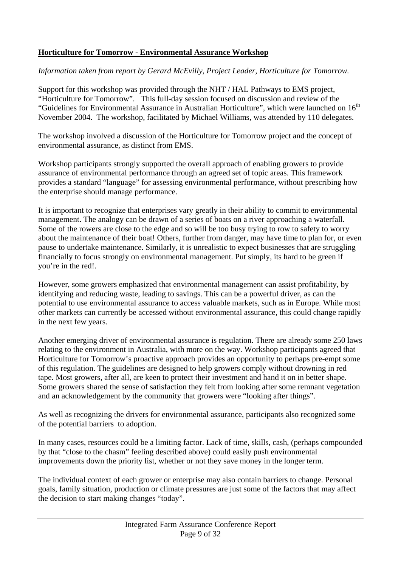#### **Horticulture for Tomorrow - Environmental Assurance Workshop**

#### *Information taken from report by Gerard McEvilly, Project Leader, Horticulture for Tomorrow.*

Support for this workshop was provided through the NHT / HAL Pathways to EMS project, "Horticulture for Tomorrow". This full-day session focused on discussion and review of the "Guidelines for Environmental Assurance in Australian Horticulture", which were launched on  $16<sup>th</sup>$ November 2004. The workshop, facilitated by Michael Williams, was attended by 110 delegates.

The workshop involved a discussion of the Horticulture for Tomorrow project and the concept of environmental assurance, as distinct from EMS.

Workshop participants strongly supported the overall approach of enabling growers to provide assurance of environmental performance through an agreed set of topic areas. This framework provides a standard "language" for assessing environmental performance, without prescribing how the enterprise should manage performance.

It is important to recognize that enterprises vary greatly in their ability to commit to environmental management. The analogy can be drawn of a series of boats on a river approaching a waterfall. Some of the rowers are close to the edge and so will be too busy trying to row to safety to worry about the maintenance of their boat! Others, further from danger, may have time to plan for, or even pause to undertake maintenance. Similarly, it is unrealistic to expect businesses that are struggling financially to focus strongly on environmental management. Put simply, its hard to be green if you're in the red!.

However, some growers emphasized that environmental management can assist profitability, by identifying and reducing waste, leading to savings. This can be a powerful driver, as can the potential to use environmental assurance to access valuable markets, such as in Europe. While most other markets can currently be accessed without environmental assurance, this could change rapidly in the next few years.

Another emerging driver of environmental assurance is regulation. There are already some 250 laws relating to the environment in Australia, with more on the way. Workshop participants agreed that Horticulture for Tomorrow's proactive approach provides an opportunity to perhaps pre-empt some of this regulation. The guidelines are designed to help growers comply without drowning in red tape. Most growers, after all, are keen to protect their investment and hand it on in better shape. Some growers shared the sense of satisfaction they felt from looking after some remnant vegetation and an acknowledgement by the community that growers were "looking after things".

As well as recognizing the drivers for environmental assurance, participants also recognized some of the potential barriers to adoption.

In many cases, resources could be a limiting factor. Lack of time, skills, cash, (perhaps compounded by that "close to the chasm" feeling described above) could easily push environmental improvements down the priority list, whether or not they save money in the longer term.

The individual context of each grower or enterprise may also contain barriers to change. Personal goals, family situation, production or climate pressures are just some of the factors that may affect the decision to start making changes "today".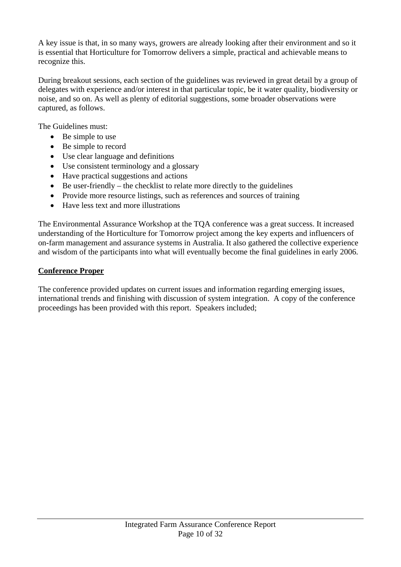A key issue is that, in so many ways, growers are already looking after their environment and so it is essential that Horticulture for Tomorrow delivers a simple, practical and achievable means to recognize this.

During breakout sessions, each section of the guidelines was reviewed in great detail by a group of delegates with experience and/or interest in that particular topic, be it water quality, biodiversity or noise, and so on. As well as plenty of editorial suggestions, some broader observations were captured, as follows.

The Guidelines must:

- Be simple to use
- Be simple to record
- Use clear language and definitions
- Use consistent terminology and a glossary
- Have practical suggestions and actions
- Be user-friendly the checklist to relate more directly to the guidelines
- Provide more resource listings, such as references and sources of training
- Have less text and more illustrations

The Environmental Assurance Workshop at the TQA conference was a great success. It increased understanding of the Horticulture for Tomorrow project among the key experts and influencers of on-farm management and assurance systems in Australia. It also gathered the collective experience and wisdom of the participants into what will eventually become the final guidelines in early 2006.

#### **Conference Proper**

The conference provided updates on current issues and information regarding emerging issues, international trends and finishing with discussion of system integration. A copy of the conference proceedings has been provided with this report. Speakers included;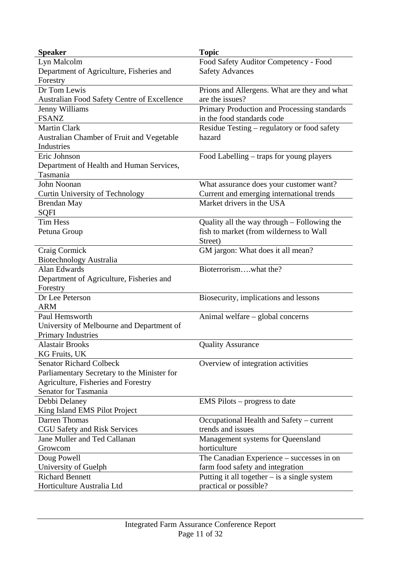| <b>Speaker</b>                              | <b>Topic</b>                                   |
|---------------------------------------------|------------------------------------------------|
| Lyn Malcolm                                 | Food Safety Auditor Competency - Food          |
| Department of Agriculture, Fisheries and    | <b>Safety Advances</b>                         |
| Forestry                                    |                                                |
| Dr Tom Lewis                                | Prions and Allergens. What are they and what   |
| Australian Food Safety Centre of Excellence | are the issues?                                |
| Jenny Williams                              | Primary Production and Processing standards    |
| <b>FSANZ</b>                                | in the food standards code                     |
| <b>Martin Clark</b>                         | Residue Testing – regulatory or food safety    |
| Australian Chamber of Fruit and Vegetable   | hazard                                         |
| Industries                                  |                                                |
| Eric Johnson                                | Food Labelling – traps for young players       |
| Department of Health and Human Services,    |                                                |
| Tasmania                                    |                                                |
| John Noonan                                 | What assurance does your customer want?        |
| Curtin University of Technology             | Current and emerging international trends      |
| <b>Brendan May</b>                          | Market drivers in the USA                      |
| <b>SQFI</b>                                 |                                                |
| <b>Tim Hess</b>                             | Quality all the way through – Following the    |
| Petuna Group                                | fish to market (from wilderness to Wall        |
|                                             | Street)                                        |
| Craig Cormick                               | GM jargon: What does it all mean?              |
| <b>Biotechnology Australia</b>              |                                                |
| <b>Alan Edwards</b>                         | Bioterrorism, what the?                        |
| Department of Agriculture, Fisheries and    |                                                |
| Forestry                                    |                                                |
| Dr Lee Peterson                             | Biosecurity, implications and lessons          |
| <b>ARM</b>                                  |                                                |
| Paul Hemsworth                              | Animal welfare – global concerns               |
| University of Melbourne and Department of   |                                                |
| <b>Primary Industries</b>                   |                                                |
| <b>Alastair Brooks</b>                      | <b>Quality Assurance</b>                       |
| KG Fruits, UK                               |                                                |
| <b>Senator Richard Colbeck</b>              | Overview of integration activities             |
| Parliamentary Secretary to the Minister for |                                                |
| Agriculture, Fisheries and Forestry         |                                                |
| Senator for Tasmania                        |                                                |
| Debbi Delaney                               | $EMS$ Pilots – progress to date                |
| King Island EMS Pilot Project               |                                                |
| Darren Thomas                               | Occupational Health and Safety - current       |
| <b>CGU Safety and Risk Services</b>         | trends and issues                              |
| Jane Muller and Ted Callanan                | Management systems for Queensland              |
| Growcom                                     | horticulture                                   |
| Doug Powell                                 | The Canadian Experience – successes in on      |
| University of Guelph                        | farm food safety and integration               |
| <b>Richard Bennett</b>                      | Putting it all together $-$ is a single system |
| Horticulture Australia Ltd                  | practical or possible?                         |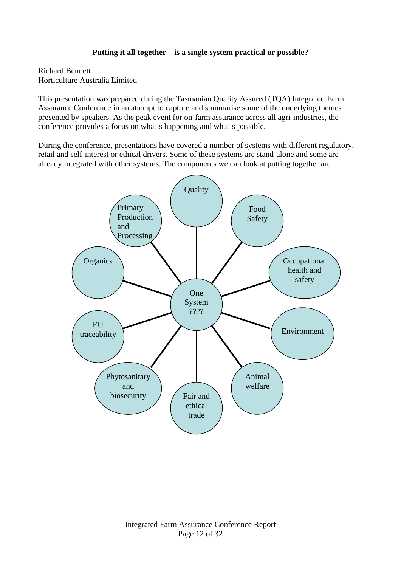#### **Putting it all together – is a single system practical or possible?**

Richard Bennett Horticulture Australia Limited

This presentation was prepared during the Tasmanian Quality Assured (TQA) Integrated Farm Assurance Conference in an attempt to capture and summarise some of the underlying themes presented by speakers. As the peak event for on-farm assurance across all agri-industries, the conference provides a focus on what's happening and what's possible.

During the conference, presentations have covered a number of systems with different regulatory, retail and self-interest or ethical drivers. Some of these systems are stand-alone and some are already integrated with other systems. The components we can look at putting together are

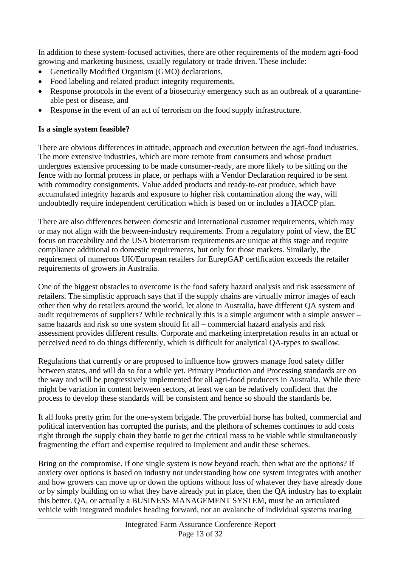In addition to these system-focused activities, there are other requirements of the modern agri-food growing and marketing business, usually regulatory or trade driven. These include:

- Genetically Modified Organism (GMO) declarations,
- Food labeling and related product integrity requirements,
- Response protocols in the event of a biosecurity emergency such as an outbreak of a quarantineable pest or disease, and
- Response in the event of an act of terrorism on the food supply infrastructure.

#### **Is a single system feasible?**

There are obvious differences in attitude, approach and execution between the agri-food industries. The more extensive industries, which are more remote from consumers and whose product undergoes extensive processing to be made consumer-ready, are more likely to be sitting on the fence with no formal process in place, or perhaps with a Vendor Declaration required to be sent with commodity consignments. Value added products and ready-to-eat produce, which have accumulated integrity hazards and exposure to higher risk contamination along the way, will undoubtedly require independent certification which is based on or includes a HACCP plan.

There are also differences between domestic and international customer requirements, which may or may not align with the between-industry requirements. From a regulatory point of view, the EU focus on traceability and the USA bioterrorism requirements are unique at this stage and require compliance additional to domestic requirements, but only for those markets. Similarly, the requirement of numerous UK/European retailers for EurepGAP certification exceeds the retailer requirements of growers in Australia.

One of the biggest obstacles to overcome is the food safety hazard analysis and risk assessment of retailers. The simplistic approach says that if the supply chains are virtually mirror images of each other then why do retailers around the world, let alone in Australia, have different QA system and audit requirements of suppliers? While technically this is a simple argument with a simple answer – same hazards and risk so one system should fit all – commercial hazard analysis and risk assessment provides different results. Corporate and marketing interpretation results in an actual or perceived need to do things differently, which is difficult for analytical QA-types to swallow.

Regulations that currently or are proposed to influence how growers manage food safety differ between states, and will do so for a while yet. Primary Production and Processing standards are on the way and will be progressively implemented for all agri-food producers in Australia. While there might be variation in content between sectors, at least we can be relatively confident that the process to develop these standards will be consistent and hence so should the standards be.

It all looks pretty grim for the one-system brigade. The proverbial horse has bolted, commercial and political intervention has corrupted the purists, and the plethora of schemes continues to add costs right through the supply chain they battle to get the critical mass to be viable while simultaneously fragmenting the effort and expertise required to implement and audit these schemes.

Bring on the compromise. If one single system is now beyond reach, then what are the options? If anxiety over options is based on industry not understanding how one system integrates with another and how growers can move up or down the options without loss of whatever they have already done or by simply building on to what they have already put in place, then the QA industry has to explain this better. QA, or actually a BUSINESS MANAGEMENT SYSTEM, must be an articulated vehicle with integrated modules heading forward, not an avalanche of individual systems roaring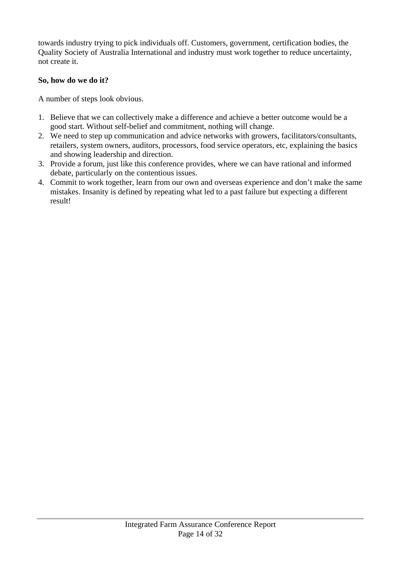towards industry trying to pick individuals off. Customers, government, certification bodies, the Quality Society of Australia International and industry must work together to reduce uncertainty, not create it.

#### **So, how do we do it?**

A number of steps look obvious.

- 1. Believe that we can collectively make a difference and achieve a better outcome would be a good start. Without self-belief and commitment, nothing will change.
- 2. We need to step up communication and advice networks with growers, facilitators/consultants, retailers, system owners, auditors, processors, food service operators, etc, explaining the basics and showing leadership and direction.
- 3. Provide a forum, just like this conference provides, where we can have rational and informed debate, particularly on the contentious issues.
- 4. Commit to work together, learn from our own and overseas experience and don't make the same mistakes. Insanity is defined by repeating what led to a past failure but expecting a different result!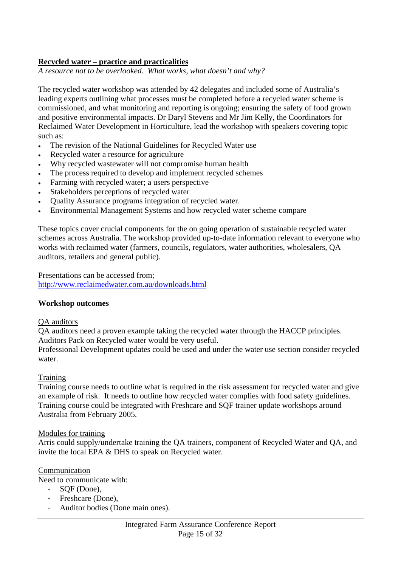#### **Recycled water – practice and practicalities**

*A resource not to be overlooked. What works, what doesn't and why?* 

The recycled water workshop was attended by 42 delegates and included some of Australia's leading experts outlining what processes must be completed before a recycled water scheme is commissioned, and what monitoring and reporting is ongoing; ensuring the safety of food grown and positive environmental impacts. Dr Daryl Stevens and Mr Jim Kelly, the Coordinators for Reclaimed Water Development in Horticulture, lead the workshop with speakers covering topic such as:

- The revision of the National Guidelines for Recycled Water use
- Recycled water a resource for agriculture
- Why recycled wastewater will not compromise human health
- The process required to develop and implement recycled schemes
- Farming with recycled water; a users perspective
- Stakeholders perceptions of recycled water
- Quality Assurance programs integration of recycled water.
- Environmental Management Systems and how recycled water scheme compare

These topics cover crucial components for the on going operation of sustainable recycled water schemes across Australia. The workshop provided up-to-date information relevant to everyone who works with reclaimed water (farmers, councils, regulators, water authorities, wholesalers, QA auditors, retailers and general public).

Presentations can be accessed from; http://www.reclaimedwater.com.au/downloads.html

#### **Workshop outcomes**

#### QA auditors

QA auditors need a proven example taking the recycled water through the HACCP principles. Auditors Pack on Recycled water would be very useful.

Professional Development updates could be used and under the water use section consider recycled water.

#### **Training**

Training course needs to outline what is required in the risk assessment for recycled water and give an example of risk. It needs to outline how recycled water complies with food safety guidelines. Training course could be integrated with Freshcare and SQF trainer update workshops around Australia from February 2005.

#### Modules for training

Arris could supply/undertake training the QA trainers, component of Recycled Water and QA, and invite the local EPA & DHS to speak on Recycled water.

#### Communication

Need to communicate with:

- SQF (Done),
- Freshcare (Done),
- Auditor bodies (Done main ones).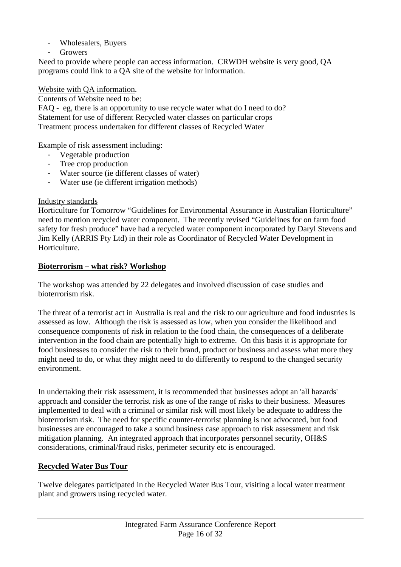- Wholesalers, Buyers
- **Growers**

Need to provide where people can access information. CRWDH website is very good, QA programs could link to a QA site of the website for information.

#### Website with QA information.

Contents of Website need to be:

FAQ - eg, there is an opportunity to use recycle water what do I need to do? Statement for use of different Recycled water classes on particular crops Treatment process undertaken for different classes of Recycled Water

Example of risk assessment including:

- Vegetable production
- Tree crop production
- Water source (ie different classes of water)
- Water use (ie different irrigation methods)

#### Industry standards

Horticulture for Tomorrow "Guidelines for Environmental Assurance in Australian Horticulture" need to mention recycled water component. The recently revised "Guidelines for on farm food safety for fresh produce" have had a recycled water component incorporated by Daryl Stevens and Jim Kelly (ARRIS Pty Ltd) in their role as Coordinator of Recycled Water Development in Horticulture.

#### **Bioterrorism – what risk? Workshop**

The workshop was attended by 22 delegates and involved discussion of case studies and bioterrorism risk.

The threat of a terrorist act in Australia is real and the risk to our agriculture and food industries is assessed as low. Although the risk is assessed as low, when you consider the likelihood and consequence components of risk in relation to the food chain, the consequences of a deliberate intervention in the food chain are potentially high to extreme. On this basis it is appropriate for food businesses to consider the risk to their brand, product or business and assess what more they might need to do, or what they might need to do differently to respond to the changed security environment.

In undertaking their risk assessment, it is recommended that businesses adopt an 'all hazards' approach and consider the terrorist risk as one of the range of risks to their business. Measures implemented to deal with a criminal or similar risk will most likely be adequate to address the bioterrorism risk. The need for specific counter-terrorist planning is not advocated, but food businesses are encouraged to take a sound business case approach to risk assessment and risk mitigation planning. An integrated approach that incorporates personnel security, OH&S considerations, criminal/fraud risks, perimeter security etc is encouraged.

#### **Recycled Water Bus Tour**

Twelve delegates participated in the Recycled Water Bus Tour, visiting a local water treatment plant and growers using recycled water.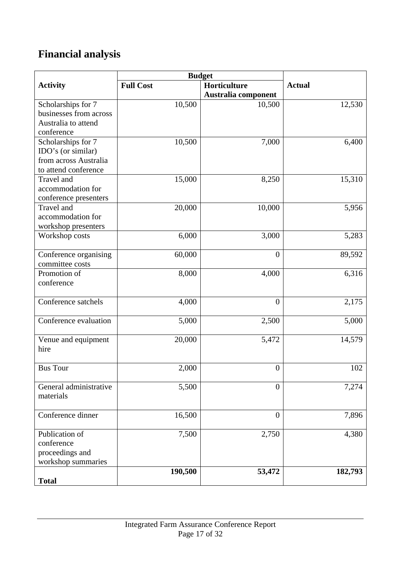# **Financial analysis**

| <b>Full Cost</b><br>Horticulture<br><b>Actual</b><br><b>Activity</b><br>Australia component<br>Scholarships for 7<br>10,500<br>10,500<br>12,530<br>businesses from across<br>Australia to attend<br>conference<br>Scholarships for 7<br>10,500<br>7,000<br>6,400<br>IDO's (or similar)<br>from across Australia<br>to attend conference<br>15,000<br>8,250<br>15,310<br>Travel and<br>accommodation for<br>conference presenters<br>20,000<br>10,000<br>Travel and<br>5,956<br>accommodation for<br>workshop presenters<br>6,000<br>3,000<br>5,283<br>Workshop costs | <b>Budget</b> |  |  |
|----------------------------------------------------------------------------------------------------------------------------------------------------------------------------------------------------------------------------------------------------------------------------------------------------------------------------------------------------------------------------------------------------------------------------------------------------------------------------------------------------------------------------------------------------------------------|---------------|--|--|
|                                                                                                                                                                                                                                                                                                                                                                                                                                                                                                                                                                      |               |  |  |
|                                                                                                                                                                                                                                                                                                                                                                                                                                                                                                                                                                      |               |  |  |
|                                                                                                                                                                                                                                                                                                                                                                                                                                                                                                                                                                      |               |  |  |
|                                                                                                                                                                                                                                                                                                                                                                                                                                                                                                                                                                      |               |  |  |
|                                                                                                                                                                                                                                                                                                                                                                                                                                                                                                                                                                      |               |  |  |
|                                                                                                                                                                                                                                                                                                                                                                                                                                                                                                                                                                      |               |  |  |
|                                                                                                                                                                                                                                                                                                                                                                                                                                                                                                                                                                      |               |  |  |
|                                                                                                                                                                                                                                                                                                                                                                                                                                                                                                                                                                      |               |  |  |
|                                                                                                                                                                                                                                                                                                                                                                                                                                                                                                                                                                      |               |  |  |
|                                                                                                                                                                                                                                                                                                                                                                                                                                                                                                                                                                      |               |  |  |
|                                                                                                                                                                                                                                                                                                                                                                                                                                                                                                                                                                      |               |  |  |
|                                                                                                                                                                                                                                                                                                                                                                                                                                                                                                                                                                      |               |  |  |
|                                                                                                                                                                                                                                                                                                                                                                                                                                                                                                                                                                      |               |  |  |
|                                                                                                                                                                                                                                                                                                                                                                                                                                                                                                                                                                      |               |  |  |
|                                                                                                                                                                                                                                                                                                                                                                                                                                                                                                                                                                      |               |  |  |
|                                                                                                                                                                                                                                                                                                                                                                                                                                                                                                                                                                      |               |  |  |
|                                                                                                                                                                                                                                                                                                                                                                                                                                                                                                                                                                      |               |  |  |
|                                                                                                                                                                                                                                                                                                                                                                                                                                                                                                                                                                      |               |  |  |
| Conference organising<br>89,592<br>60,000<br>$\boldsymbol{0}$                                                                                                                                                                                                                                                                                                                                                                                                                                                                                                        |               |  |  |
| committee costs                                                                                                                                                                                                                                                                                                                                                                                                                                                                                                                                                      |               |  |  |
| Promotion of<br>8,000<br>6,316<br>4,000                                                                                                                                                                                                                                                                                                                                                                                                                                                                                                                              |               |  |  |
| conference                                                                                                                                                                                                                                                                                                                                                                                                                                                                                                                                                           |               |  |  |
|                                                                                                                                                                                                                                                                                                                                                                                                                                                                                                                                                                      |               |  |  |
| 4,000<br>2,175<br>Conference satchels<br>$\overline{0}$                                                                                                                                                                                                                                                                                                                                                                                                                                                                                                              |               |  |  |
|                                                                                                                                                                                                                                                                                                                                                                                                                                                                                                                                                                      |               |  |  |
| Conference evaluation<br>5,000<br>2,500<br>5,000                                                                                                                                                                                                                                                                                                                                                                                                                                                                                                                     |               |  |  |
|                                                                                                                                                                                                                                                                                                                                                                                                                                                                                                                                                                      |               |  |  |
| 14,579<br>5,472<br>Venue and equipment<br>20,000                                                                                                                                                                                                                                                                                                                                                                                                                                                                                                                     |               |  |  |
| hire                                                                                                                                                                                                                                                                                                                                                                                                                                                                                                                                                                 |               |  |  |
|                                                                                                                                                                                                                                                                                                                                                                                                                                                                                                                                                                      |               |  |  |
| <b>Bus Tour</b><br>2,000<br>102<br>$\boldsymbol{0}$                                                                                                                                                                                                                                                                                                                                                                                                                                                                                                                  |               |  |  |
|                                                                                                                                                                                                                                                                                                                                                                                                                                                                                                                                                                      |               |  |  |
| 5,500<br>7,274<br>General administrative<br>$\theta$                                                                                                                                                                                                                                                                                                                                                                                                                                                                                                                 |               |  |  |
| materials                                                                                                                                                                                                                                                                                                                                                                                                                                                                                                                                                            |               |  |  |
| Conference dinner<br>$\overline{0}$                                                                                                                                                                                                                                                                                                                                                                                                                                                                                                                                  |               |  |  |
| 16,500<br>7,896                                                                                                                                                                                                                                                                                                                                                                                                                                                                                                                                                      |               |  |  |
| Publication of<br>7,500<br>2,750<br>4,380                                                                                                                                                                                                                                                                                                                                                                                                                                                                                                                            |               |  |  |
| conference                                                                                                                                                                                                                                                                                                                                                                                                                                                                                                                                                           |               |  |  |
| proceedings and                                                                                                                                                                                                                                                                                                                                                                                                                                                                                                                                                      |               |  |  |
| workshop summaries                                                                                                                                                                                                                                                                                                                                                                                                                                                                                                                                                   |               |  |  |
| 190,500<br>53,472<br>182,793                                                                                                                                                                                                                                                                                                                                                                                                                                                                                                                                         |               |  |  |
| <b>Total</b>                                                                                                                                                                                                                                                                                                                                                                                                                                                                                                                                                         |               |  |  |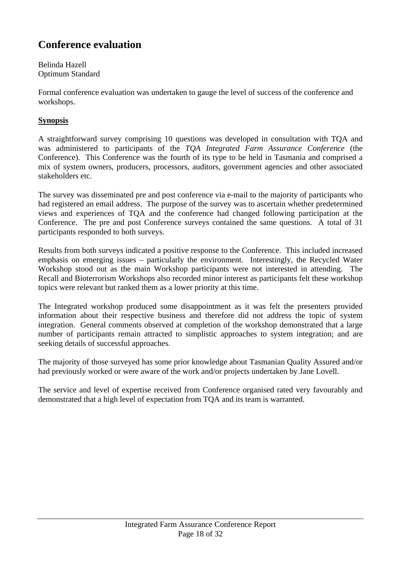### **Conference evaluation**

Belinda Hazell Optimum Standard

Formal conference evaluation was undertaken to gauge the level of success of the conference and workshops.

#### **Synopsis**

A straightforward survey comprising 10 questions was developed in consultation with TQA and was administered to participants of the *TQA Integrated Farm Assurance Conference* (the Conference). This Conference was the fourth of its type to be held in Tasmania and comprised a mix of system owners, producers, processors, auditors, government agencies and other associated stakeholders etc.

The survey was disseminated pre and post conference via e-mail to the majority of participants who had registered an email address. The purpose of the survey was to ascertain whether predetermined views and experiences of TQA and the conference had changed following participation at the Conference. The pre and post Conference surveys contained the same questions. A total of 31 participants responded to both surveys.

Results from both surveys indicated a positive response to the Conference. This included increased emphasis on emerging issues – particularly the environment. Interestingly, the Recycled Water Workshop stood out as the main Workshop participants were not interested in attending. The Recall and Bioterrorism Workshops also recorded minor interest as participants felt these workshop topics were relevant but ranked them as a lower priority at this time.

The Integrated workshop produced some disappointment as it was felt the presenters provided information about their respective business and therefore did not address the topic of system integration. General comments observed at completion of the workshop demonstrated that a large number of participants remain attracted to simplistic approaches to system integration; and are seeking details of successful approaches.

The majority of those surveyed has some prior knowledge about Tasmanian Quality Assured and/or had previously worked or were aware of the work and/or projects undertaken by Jane Lovell.

The service and level of expertise received from Conference organised rated very favourably and demonstrated that a high level of expectation from TQA and its team is warranted.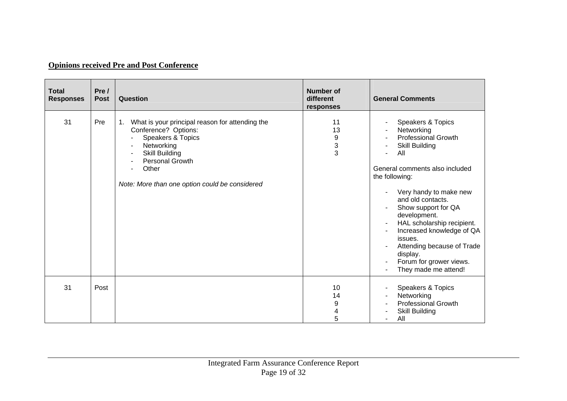#### **Opinions received Pre and Post Conference**

| <b>Total</b><br><b>Responses</b> | Pre /<br><b>Post</b> | Question                                                                                                                                                                                                         | <b>Number of</b><br>different<br>responses | <b>General Comments</b>                                                                                                                                                                                                                                                                                                                                                                                                    |
|----------------------------------|----------------------|------------------------------------------------------------------------------------------------------------------------------------------------------------------------------------------------------------------|--------------------------------------------|----------------------------------------------------------------------------------------------------------------------------------------------------------------------------------------------------------------------------------------------------------------------------------------------------------------------------------------------------------------------------------------------------------------------------|
| 31                               | Pre                  | What is your principal reason for attending the<br>1.<br>Conference? Options:<br>Speakers & Topics<br>Networking<br>Skill Building<br>Personal Growth<br>Other<br>Note: More than one option could be considered | 11<br>13<br>9<br>$\frac{3}{3}$             | Speakers & Topics<br>Networking<br><b>Professional Growth</b><br>Skill Building<br>٠<br>All<br>General comments also included<br>the following:<br>Very handy to make new<br>and old contacts.<br>Show support for QA<br>development.<br>HAL scholarship recipient.<br>$\blacksquare$<br>Increased knowledge of QA<br>issues.<br>Attending because of Trade<br>display.<br>Forum for grower views.<br>They made me attend! |
| 31                               | Post                 |                                                                                                                                                                                                                  | 10<br>14<br>9<br>4<br>5                    | Speakers & Topics<br>Networking<br><b>Professional Growth</b><br><b>Skill Building</b><br>All<br>$\sim$                                                                                                                                                                                                                                                                                                                    |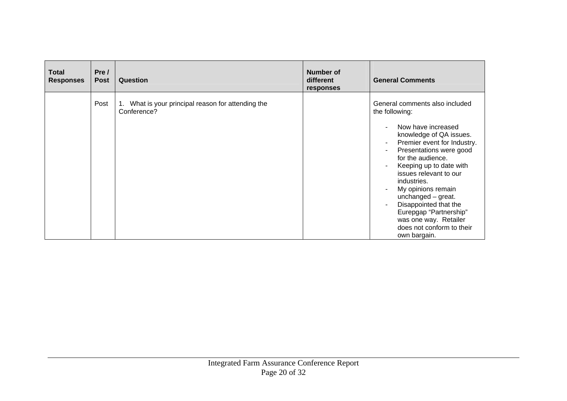| <b>Total</b><br><b>Responses</b> | Pre /<br><b>Post</b> | Question                                                       | <b>Number of</b><br>different<br>responses | <b>General Comments</b>                                                                                                                                                                                                                                                                                                                                                                                                                                 |
|----------------------------------|----------------------|----------------------------------------------------------------|--------------------------------------------|---------------------------------------------------------------------------------------------------------------------------------------------------------------------------------------------------------------------------------------------------------------------------------------------------------------------------------------------------------------------------------------------------------------------------------------------------------|
|                                  | Post                 | What is your principal reason for attending the<br>Conference? |                                            | General comments also included<br>the following:<br>Now have increased<br>knowledge of QA issues.<br>Premier event for Industry.<br>٠<br>Presentations were good<br>۰<br>for the audience.<br>Keeping up to date with<br>issues relevant to our<br>industries.<br>My opinions remain<br>unchanged $-$ great.<br>Disappointed that the<br>$\blacksquare$<br>Eurepgap "Partnership"<br>was one way. Retailer<br>does not conform to their<br>own bargain. |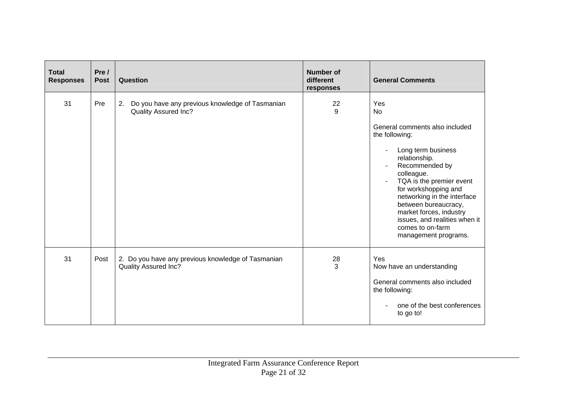| <b>Total</b><br><b>Responses</b> | Pre /<br><b>Post</b> | Question                                                                             | <b>Number of</b><br>different<br>responses | <b>General Comments</b>                                                                                                                                                                                                                                                                                                                                        |
|----------------------------------|----------------------|--------------------------------------------------------------------------------------|--------------------------------------------|----------------------------------------------------------------------------------------------------------------------------------------------------------------------------------------------------------------------------------------------------------------------------------------------------------------------------------------------------------------|
| 31                               | Pre                  | Do you have any previous knowledge of Tasmanian<br>2.<br><b>Quality Assured Inc?</b> | 22<br>9                                    | Yes<br><b>No</b><br>General comments also included<br>the following:<br>Long term business<br>relationship.<br>Recommended by<br>colleague.<br>TQA is the premier event<br>for workshopping and<br>networking in the interface<br>between bureaucracy,<br>market forces, industry<br>issues, and realities when it<br>comes to on-farm<br>management programs. |
| 31                               | Post                 | 2. Do you have any previous knowledge of Tasmanian<br>Quality Assured Inc?           | 28<br>3                                    | Yes<br>Now have an understanding<br>General comments also included<br>the following:<br>one of the best conferences<br>to go to!                                                                                                                                                                                                                               |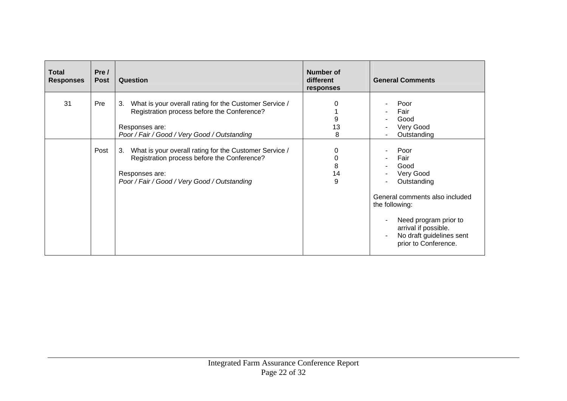| <b>Total</b><br><b>Responses</b> | Pre /<br><b>Post</b> | Question                                                                                                                                                                      | <b>Number of</b><br>different<br>responses | <b>General Comments</b>                                                                                                                                                                                   |
|----------------------------------|----------------------|-------------------------------------------------------------------------------------------------------------------------------------------------------------------------------|--------------------------------------------|-----------------------------------------------------------------------------------------------------------------------------------------------------------------------------------------------------------|
| 31                               | Pre                  | What is your overall rating for the Customer Service /<br>3.<br>Registration process before the Conference?<br>Responses are:<br>Poor / Fair / Good / Very Good / Outstanding | 9<br>13<br>8                               | Poor<br>Fair<br>Good<br>Very Good<br>Outstanding                                                                                                                                                          |
|                                  | Post                 | What is your overall rating for the Customer Service /<br>3.<br>Registration process before the Conference?<br>Responses are:<br>Poor / Fair / Good / Very Good / Outstanding | 8<br>14<br>9                               | Poor<br>Fair<br>Good<br>Very Good<br>Outstanding<br>General comments also included<br>the following:<br>Need program prior to<br>arrival if possible.<br>No draft guidelines sent<br>prior to Conference. |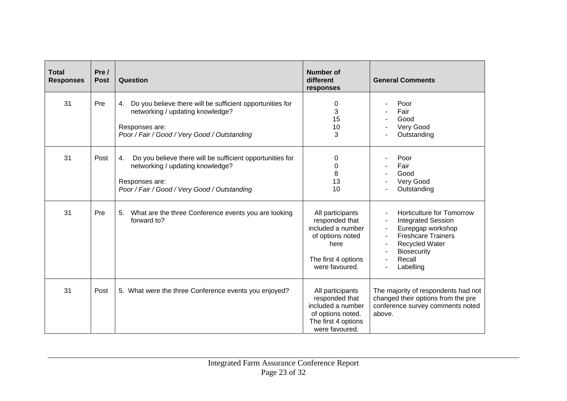| <b>Total</b><br><b>Responses</b> | Pre /<br><b>Post</b> | Question                                                                                                                                                              | <b>Number of</b><br>different<br>responses                                                                                   | <b>General Comments</b>                                                                                                                                                        |
|----------------------------------|----------------------|-----------------------------------------------------------------------------------------------------------------------------------------------------------------------|------------------------------------------------------------------------------------------------------------------------------|--------------------------------------------------------------------------------------------------------------------------------------------------------------------------------|
| 31                               | Pre                  | Do you believe there will be sufficient opportunities for<br>4.<br>networking / updating knowledge?<br>Responses are:<br>Poor / Fair / Good / Very Good / Outstanding | 0<br>3<br>15<br>10<br>3                                                                                                      | Poor<br>Fair<br>Good<br>Very Good<br>Outstanding                                                                                                                               |
| 31                               | Post                 | Do you believe there will be sufficient opportunities for<br>4.<br>networking / updating knowledge?<br>Responses are:<br>Poor / Fair / Good / Very Good / Outstanding | 0<br>0<br>8<br>13<br>10                                                                                                      | Poor<br>Fair<br>Good<br>Very Good<br>Outstanding                                                                                                                               |
| 31                               | Pre                  | What are the three Conference events you are looking<br>5.<br>forward to?                                                                                             | All participants<br>responded that<br>included a number<br>of options noted<br>here<br>The first 4 options<br>were favoured. | Horticulture for Tomorrow<br><b>Integrated Session</b><br>Eurepgap workshop<br><b>Freshcare Trainers</b><br><b>Recycled Water</b><br><b>Biosecurity</b><br>Recall<br>Labelling |
| 31                               | Post                 | 5. What were the three Conference events you enjoyed?                                                                                                                 | All participants<br>responded that<br>included a number<br>of options noted.<br>The first 4 options<br>were favoured.        | The majority of respondents had not<br>changed their options from the pre<br>conference survey comments noted<br>above.                                                        |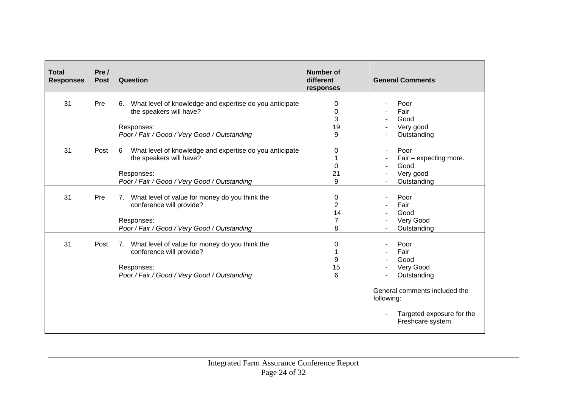| <b>Total</b><br><b>Responses</b> | Pre /<br><b>Post</b> | Question                                                                                                                                               | <b>Number of</b><br>different<br>responses       | <b>General Comments</b>                                                                                                                           |
|----------------------------------|----------------------|--------------------------------------------------------------------------------------------------------------------------------------------------------|--------------------------------------------------|---------------------------------------------------------------------------------------------------------------------------------------------------|
| 31                               | Pre                  | What level of knowledge and expertise do you anticipate<br>6.<br>the speakers will have?<br>Responses:<br>Poor / Fair / Good / Very Good / Outstanding | 0<br>$\Omega$<br>3<br>19<br>9                    | Poor<br>Fair<br>Good<br>Very good<br>Outstanding                                                                                                  |
| 31                               | Post                 | What level of knowledge and expertise do you anticipate<br>6<br>the speakers will have?<br>Responses:<br>Poor / Fair / Good / Very Good / Outstanding  | 0<br>0<br>21<br>9                                | Poor<br>Fair $-$ expecting more.<br>Good<br>Very good<br>Outstanding                                                                              |
| 31                               | Pre                  | What level of value for money do you think the<br>7.<br>conference will provide?<br>Responses:<br>Poor / Fair / Good / Very Good / Outstanding         | 0<br>$\overline{2}$<br>14<br>$\overline{7}$<br>8 | Poor<br>Fair<br>Good<br>Very Good<br>Outstanding                                                                                                  |
| 31                               | Post                 | What level of value for money do you think the<br>7.<br>conference will provide?<br>Responses:<br>Poor / Fair / Good / Very Good / Outstanding         | 0<br>9<br>15<br>6                                | Poor<br>Fair<br>Good<br>Very Good<br>Outstanding<br>General comments included the<br>following:<br>Targeted exposure for the<br>Freshcare system. |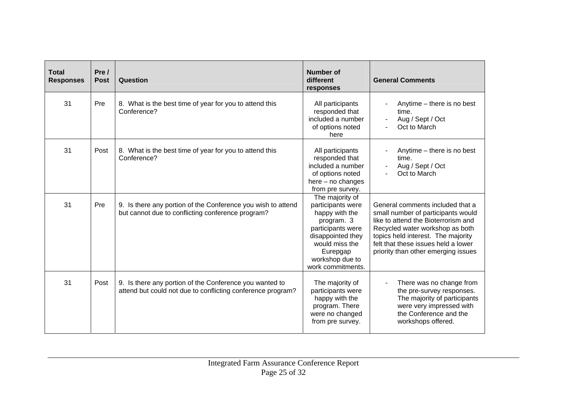| <b>Total</b><br><b>Responses</b> | Pre /<br><b>Post</b> | Question                                                                                                               | <b>Number of</b><br>different<br>responses                                                                                                                                           | <b>General Comments</b>                                                                                                                                                                                                                                              |
|----------------------------------|----------------------|------------------------------------------------------------------------------------------------------------------------|--------------------------------------------------------------------------------------------------------------------------------------------------------------------------------------|----------------------------------------------------------------------------------------------------------------------------------------------------------------------------------------------------------------------------------------------------------------------|
| 31                               | Pre                  | 8. What is the best time of year for you to attend this<br>Conference?                                                 | All participants<br>responded that<br>included a number<br>of options noted<br>here                                                                                                  | Anytime - there is no best<br>time.<br>Aug / Sept / Oct<br>Oct to March                                                                                                                                                                                              |
| 31                               | Post                 | 8. What is the best time of year for you to attend this<br>Conference?                                                 | All participants<br>responded that<br>included a number<br>of options noted<br>here $-$ no changes<br>from pre survey.                                                               | Anytime – there is no best<br>time.<br>Aug / Sept / Oct<br>Oct to March                                                                                                                                                                                              |
| 31                               | Pre                  | 9. Is there any portion of the Conference you wish to attend<br>but cannot due to conflicting conference program?      | The majority of<br>participants were<br>happy with the<br>program. 3<br>participants were<br>disappointed they<br>would miss the<br>Eurepgap<br>workshop due to<br>work commitments. | General comments included that a<br>small number of participants would<br>like to attend the Bioterrorism and<br>Recycled water workshop as both<br>topics held interest. The majority<br>felt that these issues held a lower<br>priority than other emerging issues |
| 31                               | Post                 | 9. Is there any portion of the Conference you wanted to<br>attend but could not due to conflicting conference program? | The majority of<br>participants were<br>happy with the<br>program. There<br>were no changed<br>from pre survey.                                                                      | There was no change from<br>$\blacksquare$<br>the pre-survey responses.<br>The majority of participants<br>were very impressed with<br>the Conference and the<br>workshops offered.                                                                                  |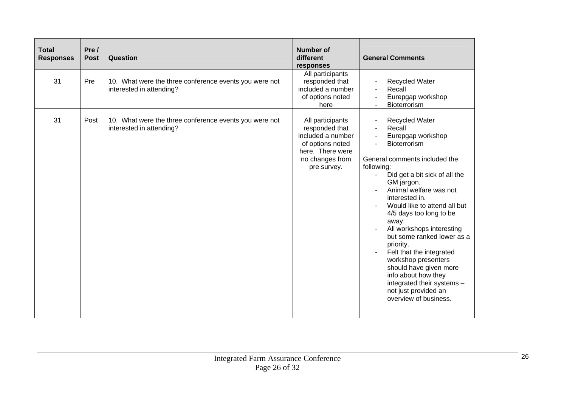| <b>Total</b><br><b>Responses</b> | Pre /<br><b>Post</b> | Question                                                                           | <b>Number of</b><br>different<br>responses                                                                                        | <b>General Comments</b>                                                                                                                                                                                                                                                                                                                                                                                                                                                                                                                                                     |
|----------------------------------|----------------------|------------------------------------------------------------------------------------|-----------------------------------------------------------------------------------------------------------------------------------|-----------------------------------------------------------------------------------------------------------------------------------------------------------------------------------------------------------------------------------------------------------------------------------------------------------------------------------------------------------------------------------------------------------------------------------------------------------------------------------------------------------------------------------------------------------------------------|
| 31                               | Pre                  | 10. What were the three conference events you were not<br>interested in attending? | All participants<br>responded that<br>included a number<br>of options noted<br>here                                               | <b>Recycled Water</b><br>Recall<br>Eurepgap workshop<br>Bioterrorism                                                                                                                                                                                                                                                                                                                                                                                                                                                                                                        |
| 31                               | Post                 | 10. What were the three conference events you were not<br>interested in attending? | All participants<br>responded that<br>included a number<br>of options noted<br>here. There were<br>no changes from<br>pre survey. | <b>Recycled Water</b><br>Recall<br>Eurepgap workshop<br>۰<br><b>Bioterrorism</b><br>$\blacksquare$<br>General comments included the<br>following:<br>Did get a bit sick of all the<br>GM jargon.<br>Animal welfare was not<br>interested in.<br>Would like to attend all but<br>4/5 days too long to be<br>away.<br>All workshops interesting<br>but some ranked lower as a<br>priority.<br>Felt that the integrated<br>workshop presenters<br>should have given more<br>info about how they<br>integrated their systems -<br>not just provided an<br>overview of business. |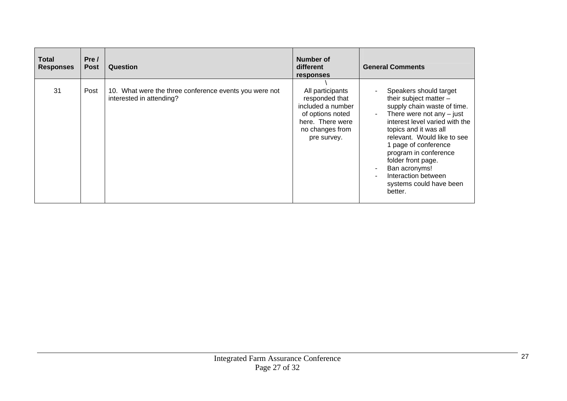| Total<br><b>Responses</b> | Pre/<br><b>Post</b> | Question                                                                           | Number of<br>different<br>responses                                                                                               | <b>General Comments</b>                                                                                                                                                                                                                                                                                                                                                           |
|---------------------------|---------------------|------------------------------------------------------------------------------------|-----------------------------------------------------------------------------------------------------------------------------------|-----------------------------------------------------------------------------------------------------------------------------------------------------------------------------------------------------------------------------------------------------------------------------------------------------------------------------------------------------------------------------------|
| 31                        | Post                | 10. What were the three conference events you were not<br>interested in attending? | All participants<br>responded that<br>included a number<br>of options noted<br>here. There were<br>no changes from<br>pre survey. | Speakers should target<br>their subject matter -<br>supply chain waste of time.<br>There were not any $-$ just<br>$\sim$<br>interest level varied with the<br>topics and it was all<br>relevant. Would like to see<br>1 page of conference<br>program in conference<br>folder front page.<br>Ban acronyms!<br>$\sim$<br>Interaction between<br>systems could have been<br>better. |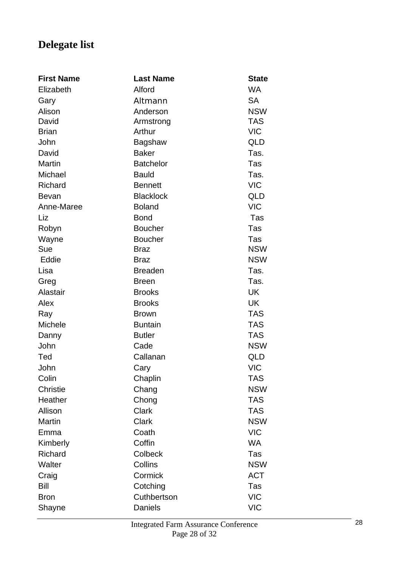# **Delegate list**

| <b>First Name</b> | <b>Last Name</b> | <b>State</b> |
|-------------------|------------------|--------------|
| Elizabeth         | Alford           | <b>WA</b>    |
| Gary              | Altmann          | <b>SA</b>    |
| Alison            | Anderson         | <b>NSW</b>   |
| David             | Armstrong        | <b>TAS</b>   |
| <b>Brian</b>      | Arthur           | <b>VIC</b>   |
| John              | Bagshaw          | QLD          |
| David             | <b>Baker</b>     | Tas.         |
| <b>Martin</b>     | <b>Batchelor</b> | Tas          |
| Michael           | <b>Bauld</b>     | Tas.         |
| Richard           | <b>Bennett</b>   | <b>VIC</b>   |
| <b>Bevan</b>      | <b>Blacklock</b> | <b>QLD</b>   |
| Anne-Maree        | <b>Boland</b>    | <b>VIC</b>   |
| Liz               | <b>Bond</b>      | Tas          |
| Robyn             | <b>Boucher</b>   | Tas          |
| Wayne             | <b>Boucher</b>   | Tas          |
| Sue               | <b>Braz</b>      | <b>NSW</b>   |
| Eddie             | <b>Braz</b>      | <b>NSW</b>   |
| Lisa              | <b>Breaden</b>   | Tas.         |
| Greg              | <b>Breen</b>     | Tas.         |
| Alastair          | <b>Brooks</b>    | <b>UK</b>    |
| Alex              | <b>Brooks</b>    | <b>UK</b>    |
| Ray               | <b>Brown</b>     | <b>TAS</b>   |
| Michele           | <b>Buntain</b>   | <b>TAS</b>   |
| Danny             | <b>Butler</b>    | <b>TAS</b>   |
| John              | Cade             | <b>NSW</b>   |
| Ted               | Callanan         | <b>QLD</b>   |
| John              | Cary             | <b>VIC</b>   |
| Colin             | Chaplin          | <b>TAS</b>   |
| <b>Christie</b>   | Chang            | <b>NSW</b>   |
| Heather           | Chong            | <b>TAS</b>   |
| Allison           | <b>Clark</b>     | <b>TAS</b>   |
| <b>Martin</b>     | <b>Clark</b>     | <b>NSW</b>   |
| Emma              | Coath            | <b>VIC</b>   |
| Kimberly          | Coffin           | <b>WA</b>    |
| Richard           | <b>Colbeck</b>   | Tas          |
| Walter            | Collins          | <b>NSW</b>   |
| Craig             | Cormick          | <b>ACT</b>   |
| Bill              | Cotching         | Tas          |
| <b>Bron</b>       | Cuthbertson      | <b>VIC</b>   |
| Shayne            | Daniels          | <b>VIC</b>   |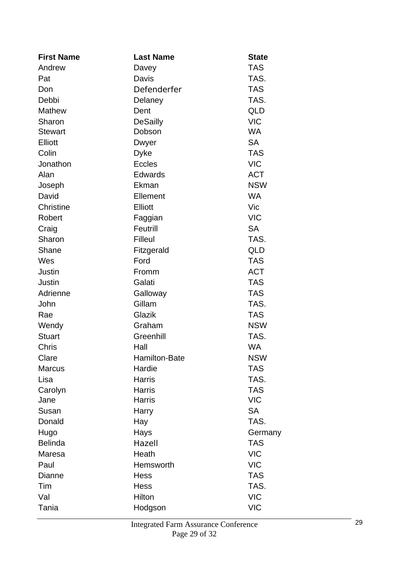| <b>First Name</b> | <b>Last Name</b> | <b>State</b> |
|-------------------|------------------|--------------|
| Andrew            | Davey            | <b>TAS</b>   |
| Pat               | Davis            | TAS.         |
| Don               | Defenderfer      | <b>TAS</b>   |
| Debbi             | Delaney          | TAS.         |
| <b>Mathew</b>     | Dent             | QLD          |
| Sharon            | <b>DeSailly</b>  | <b>VIC</b>   |
| <b>Stewart</b>    | Dobson           | <b>WA</b>    |
| Elliott           | Dwyer            | <b>SA</b>    |
| Colin             | <b>Dyke</b>      | <b>TAS</b>   |
| Jonathon          | <b>Eccles</b>    | <b>VIC</b>   |
| Alan              | <b>Edwards</b>   | <b>ACT</b>   |
| Joseph            | Ekman            | <b>NSW</b>   |
| David             | Ellement         | <b>WA</b>    |
| <b>Christine</b>  | <b>Elliott</b>   | Vic          |
| Robert            | Faggian          | <b>VIC</b>   |
| Craig             | Feutrill         | <b>SA</b>    |
| Sharon            | <b>Filleul</b>   | TAS.         |
| Shane             | Fitzgerald       | <b>QLD</b>   |
| Wes               | Ford             | <b>TAS</b>   |
| Justin            | Fromm            | <b>ACT</b>   |
| Justin            | Galati           | <b>TAS</b>   |
| Adrienne          | Galloway         | <b>TAS</b>   |
| John              | Gillam           | TAS.         |
| Rae               | Glazik           | <b>TAS</b>   |
| Wendy             | Graham           | <b>NSW</b>   |
| <b>Stuart</b>     | Greenhill        | TAS.         |
| <b>Chris</b>      | Hall             | <b>WA</b>    |
| Clare             | Hamilton-Bate    | <b>NSW</b>   |
| <b>Marcus</b>     | Hardie           | <b>TAS</b>   |
| Lisa              | <b>Harris</b>    | TAS.         |
| Carolyn           | <b>Harris</b>    | <b>TAS</b>   |
| Jane              | <b>Harris</b>    | <b>VIC</b>   |
| Susan             | Harry            | <b>SA</b>    |
| Donald            | Hay              | TAS.         |
| Hugo              | Hays             | Germany      |
| <b>Belinda</b>    | Hazell           | <b>TAS</b>   |
| Maresa            | Heath            | <b>VIC</b>   |
| Paul              | Hemsworth        | <b>VIC</b>   |
| Dianne            | <b>Hess</b>      | <b>TAS</b>   |
| Tim               | <b>Hess</b>      | TAS.         |
| Val               | Hilton           | <b>VIC</b>   |
| Tania             | Hodgson          | <b>VIC</b>   |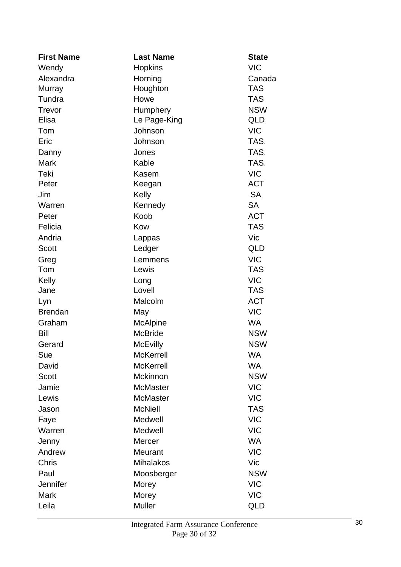| <b>First Name</b> | <b>Last Name</b> | <b>State</b> |
|-------------------|------------------|--------------|
| Wendy             | <b>Hopkins</b>   | <b>VIC</b>   |
| Alexandra         | Horning          | Canada       |
| Murray            | Houghton         | <b>TAS</b>   |
| Tundra            | Howe             | <b>TAS</b>   |
| Trevor            | Humphery         | <b>NSW</b>   |
| Elisa             | Le Page-King     | QLD          |
| Tom               | Johnson          | <b>VIC</b>   |
| Eric              | Johnson          | TAS.         |
| Danny             | Jones            | TAS.         |
| Mark              | Kable            | TAS.         |
| Teki              | Kasem            | <b>VIC</b>   |
| Peter             | Keegan           | <b>ACT</b>   |
| Jim               | Kelly            | <b>SA</b>    |
| Warren            | Kennedy          | <b>SA</b>    |
| Peter             | Koob             | <b>ACT</b>   |
| Felicia           | Kow              | <b>TAS</b>   |
| Andria            | Lappas           | Vic          |
| Scott             | Ledger           | QLD          |
| Greg              | Lemmens          | <b>VIC</b>   |
| Tom               | Lewis            | <b>TAS</b>   |
| Kelly             | Long             | <b>VIC</b>   |
| Jane              | Lovell           | <b>TAS</b>   |
| Lyn               | Malcolm          | <b>ACT</b>   |
| <b>Brendan</b>    | May              | <b>VIC</b>   |
| Graham            | <b>McAlpine</b>  | <b>WA</b>    |
| Bill              | <b>McBride</b>   | <b>NSW</b>   |
| Gerard            | <b>McEvilly</b>  | <b>NSW</b>   |
| Sue               | <b>McKerrell</b> | <b>WA</b>    |
| David             | <b>McKerrell</b> | <b>WA</b>    |
| <b>Scott</b>      | Mckinnon         | <b>NSW</b>   |
| Jamie             | <b>McMaster</b>  | <b>VIC</b>   |
| Lewis             | <b>McMaster</b>  | <b>VIC</b>   |
| Jason             | <b>McNiell</b>   | <b>TAS</b>   |
| Faye              | Medwell          | <b>VIC</b>   |
| Warren            | Medwell          | <b>VIC</b>   |
| Jenny             | <b>Mercer</b>    | <b>WA</b>    |
| Andrew            | Meurant          | <b>VIC</b>   |
| <b>Chris</b>      | <b>Mihalakos</b> | Vic          |
| Paul              | Moosberger       | <b>NSW</b>   |
| Jennifer          | Morey            | <b>VIC</b>   |
| <b>Mark</b>       | Morey            | <b>VIC</b>   |
| Leila             | <b>Muller</b>    | QLD          |
|                   |                  |              |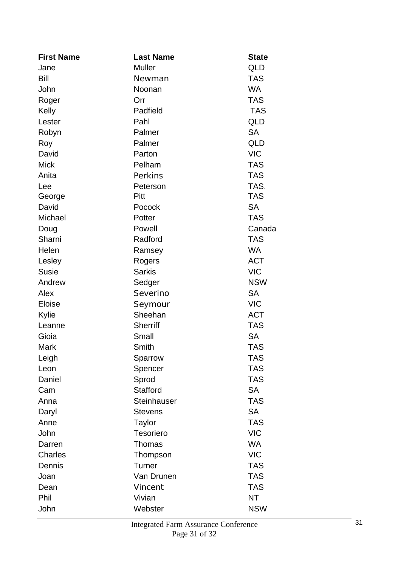| <b>First Name</b> | <b>Last Name</b>   | <b>State</b> |
|-------------------|--------------------|--------------|
| Jane              | <b>Muller</b>      | QLD          |
| Bill              | Newman             | <b>TAS</b>   |
| John              | Noonan             | <b>WA</b>    |
| Roger             | Orr                | <b>TAS</b>   |
| Kelly             | Padfield           | <b>TAS</b>   |
| Lester            | Pahl               | QLD          |
| Robyn             | Palmer             | <b>SA</b>    |
| Roy               | Palmer             | QLD          |
| David             | Parton             | <b>VIC</b>   |
| <b>Mick</b>       | Pelham             | <b>TAS</b>   |
| Anita             | Perkins            | <b>TAS</b>   |
| Lee               | Peterson           | TAS.         |
| George            | Pitt               | <b>TAS</b>   |
| David             | Pocock             | <b>SA</b>    |
| Michael           | Potter             | <b>TAS</b>   |
| Doug              | Powell             | Canada       |
| Sharni            | Radford            | <b>TAS</b>   |
| Helen             | Ramsey             | <b>WA</b>    |
| Lesley            | Rogers             | <b>ACT</b>   |
| <b>Susie</b>      | <b>Sarkis</b>      | <b>VIC</b>   |
| Andrew            | Sedger             | <b>NSW</b>   |
| Alex              | Severino           | <b>SA</b>    |
| Eloise            | Seymour            | <b>VIC</b>   |
| Kylie             | Sheehan            | <b>ACT</b>   |
| Leanne            | <b>Sherriff</b>    | <b>TAS</b>   |
| Gioia             | Small              | <b>SA</b>    |
| Mark              | Smith              | <b>TAS</b>   |
| Leigh             | Sparrow            | <b>TAS</b>   |
| Leon              | Spencer            | <b>TAS</b>   |
| Daniel            | Sprod              | <b>TAS</b>   |
| Cam               | <b>Stafford</b>    | <b>SA</b>    |
| Anna              | <b>Steinhauser</b> | <b>TAS</b>   |
| Daryl             | <b>Stevens</b>     | <b>SA</b>    |
| Anne              | Taylor             | <b>TAS</b>   |
| John              | <b>Tesoriero</b>   | <b>VIC</b>   |
| Darren            | Thomas             | WA           |
| <b>Charles</b>    | Thompson           | <b>VIC</b>   |
| Dennis            | Turner             | <b>TAS</b>   |
| Joan              | Van Drunen         | <b>TAS</b>   |
| Dean              | Vincent            | <b>TAS</b>   |
| Phil              | Vivian             | NT           |
| John              | Webster            | <b>NSW</b>   |